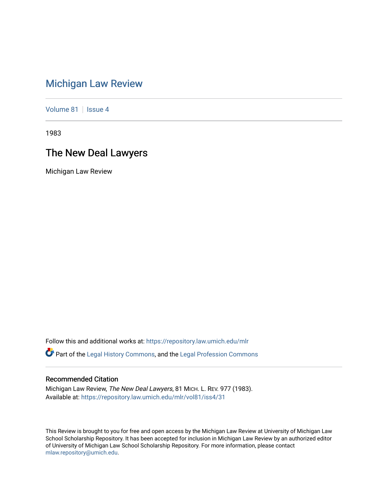## [Michigan Law Review](https://repository.law.umich.edu/mlr)

[Volume 81](https://repository.law.umich.edu/mlr/vol81) | [Issue 4](https://repository.law.umich.edu/mlr/vol81/iss4)

1983

## The New Deal Lawyers

Michigan Law Review

Follow this and additional works at: [https://repository.law.umich.edu/mlr](https://repository.law.umich.edu/mlr?utm_source=repository.law.umich.edu%2Fmlr%2Fvol81%2Fiss4%2F31&utm_medium=PDF&utm_campaign=PDFCoverPages)  Part of the [Legal History Commons](http://network.bepress.com/hgg/discipline/904?utm_source=repository.law.umich.edu%2Fmlr%2Fvol81%2Fiss4%2F31&utm_medium=PDF&utm_campaign=PDFCoverPages), and the [Legal Profession Commons](http://network.bepress.com/hgg/discipline/1075?utm_source=repository.law.umich.edu%2Fmlr%2Fvol81%2Fiss4%2F31&utm_medium=PDF&utm_campaign=PDFCoverPages)

## Recommended Citation

Michigan Law Review, The New Deal Lawyers, 81 MICH. L. REV. 977 (1983). Available at: [https://repository.law.umich.edu/mlr/vol81/iss4/31](https://repository.law.umich.edu/mlr/vol81/iss4/31?utm_source=repository.law.umich.edu%2Fmlr%2Fvol81%2Fiss4%2F31&utm_medium=PDF&utm_campaign=PDFCoverPages) 

This Review is brought to you for free and open access by the Michigan Law Review at University of Michigan Law School Scholarship Repository. It has been accepted for inclusion in Michigan Law Review by an authorized editor of University of Michigan Law School Scholarship Repository. For more information, please contact [mlaw.repository@umich.edu.](mailto:mlaw.repository@umich.edu)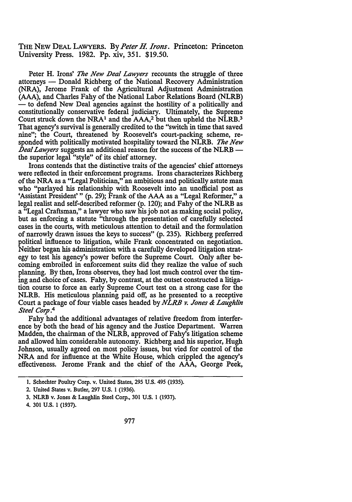THE NEW DEAL LAWYERS. By *Peter H. Irons.* Princeton: Princeton University Press. 1982. Pp. xiv, 351. \$19.50.

Peter **H.** Irons' *The New Deal Lawyers* recounts the struggle of three attorneys - Donald Richberg of the National Recovery Administration **(NRA),** Jerome Frank of the Agricultural Adjustment Administration **(AAA),** and Charles Fahy of the National Labor Relations Board **(NLRB)** - to defend New Deal agencies against the hostility of a politically and constitutionally conservative federal judiciary. Ultimately, the Supreme Court struck down the NRA<sup>1</sup> and the AAA,<sup>2</sup> but then upheld the NLRB.<sup>3</sup> That agency's survival is generally credited to the "switch in time that saved nine"; the Court, threatened by Roosevelt's court-packing scheme, responded with politically motivated hospitality toward the NLRB. *The New Deal Lawyers* suggests an additional reason for the success of the NLRB the superior legal "style" of its chief attorney.

Irons contends that the distinctive traits of the agencies' chief attorneys were reflected in their enforcement programs. Irons characterizes Richberg of the NRA as a "Legal Politician," an ambitious and politically astute man who "parlayed his relationship with Roosevelt into an unofficial post as 'Assistant President' " (p. 29); Frank of the AAA as a "Legal Reformer," a legal realist and self-described reformer (p. 120); and Fahy of the NLRB as a "Legal Craftsman," a lawyer who saw his job not as making social policy, but as enforcing a statute "through the presentation of carefully selected cases in the courts, with meticulous attention to detail and the formulation of narrowly drawn issues the keys to success" (p. 235). Richberg preferred political influence to litigation, while Frank concentrated on negotiation. Neither began his administration with a carefully developed litigation strategy to test his agency's power before the Supreme Court. Only after becoming embroiled in enforcement suits did they realize the value of such planning. By then, Irons observes, they had lost much control over the timing and choice of cases. Fahy, by contrast, at the outset constructed a litigation course to force an early Supreme Court test on a strong case for the NLRB. His meticulous planning paid off, as he presented to a receptive Court a package of four viable cases headed by *NLRB v. Jones & Laughlin Steel Corp* . 4

Fahy had the additional advantages of relative freedom from interference by both the head of his agency and the Justice Department. Warren Madden, the chairman of the NLRB, approved of Fahy's litigation scheme and allowed him considerable autonomy. Richberg and his superior, Hugh Johnson, usually agreed on most policy issues, but vied for control of the NRA and for influence at the White House, which crippled the agency's effectiveness. Jerome Frank and the chief of the AAA, George Peek,

I. Schechter Poultry Corp. v. United States, 295 U.S. 495 (1935).

<sup>2.</sup> United States v. Butler, 297 U.S. I (1936).

<sup>3.</sup> NLRB v. Jones & Laughlin Steel Corp., 301 U.S. I (1937).

<sup>4. 301</sup> U.S. 1 (1937).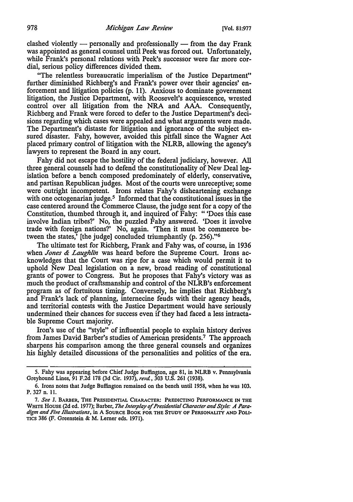clashed violently  $-$  personally and professionally  $-$  from the day Frank was appointed as general counsel until Peek was forced out. Unfortunately, while Frank's personal relations with Peek's successor were far more cordial, serious policy differences divided them.

"The relentless bureaucratic imperialism of the Justice Department" further diminished Richberg's and Frank's power over their agencies' enforcement and litigation policies (p. 11). Anxious to dominate government litigation, the Justice Department, with Roosevelt's acquiescence, wrested control over all litigation from the NRA and AAA. Consequently, Richberg and Frank were forced to defer to the Justice Department's decisions regarding which cases were appealed and what arguments were made. The Department's distaste for litigation and ignorance of the subject ensured disaster. Fahy, however, avoided this pitfall since the Wagner Act placed primary control of litigation with the NLRB, allowing the agency's lawyers to represent the Board in any court.

Fahy did not escape the hostility of the federal judiciary, however. All three general counsels had to defend the constitutionality of New Deal legislation before a bench composed predominately of elderly, conservative, and partisan Republican judges. Most of the courts were unreceptive; some were outright incompetent. Irons relates Fahy's disheartening exchange with one octogenarian judge.<sup>5</sup> Informed that the constitutional issues in the case centered around the Commerce Clause, the judge sent for a copy of the Constitution, thumbed through it, and inquired of Fahy: " 'Does this case involve Indian tribes?' No, the puzzled Fahy answered. 'Does it involve trade with foreign nations?' No, again. 'Then it must be commerce between the states,' [the judge] concluded triumphantly (p. 256)."<sup>6</sup>

The ultimate test for Richberg, Frank and Fahy was, of course, in 1936 when *Jones & Laughlin* was heard before the Supreme Court. Irons acknowledges that the Court was ripe for a case which would permit it to uphold New Deal legislation on a new, broad reading of constitutional grants of power to Congress. But he proposes that Fahy's victory was as much the product of craftsmanship and control of the NLRB's enforcement program as of fortuitous timing. Conversely, he implies that Richberg's and Frank's lack of planning, internecine feuds with their agency heads, and territorial contests with the Justice Department would have seriously undermined their chances for success even if they had faced a less intractable Supreme Court majority.

Iron's use of the "style" of influential people to explain history derives from James David Barber's studies of American presidents.7 The approach sharpens his comparison among the three general counsels and organizes his highly detailed discussions of the personalities and politics of the era.

<sup>5.</sup> Fahy was appearing before Chief Judge Buffington, age 81, in NLRB v. Pennsylvania Greyhound Lines, 91 F.2d 178 (3d Cir. 1937), *revd,* 303 U.S. 261 (1938).

<sup>6.</sup> Irons notes that Judge Buffington remained on the bench until 1958, when he was 103. P. 327 n. 11.

<sup>7.</sup> *See* J. BARBER, THE PRESIDENTIAL CHARACTER: PREDICTING PERFORMANCE IN THE WHITE HOUSE (2d ed. 1977); Barber, *The Interplay of Presidential Character and Style: A Paradigm and Five Illustrations,* in A SOURCE BOOK FOR THE STUDY OF PERSONALITY AND POLI· TICS 386 (F. Greenstein & M. Lerner eds. 1971).